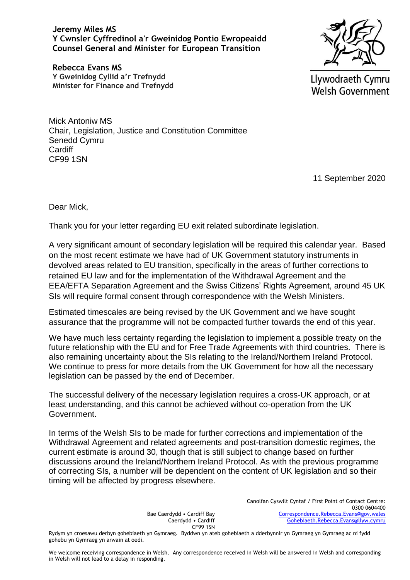**Jeremy Miles MS Y Cwnsler Cyffredinol a'r Gweinidog Pontio Ewropeaidd Counsel General and Minister for European Transition**

**Rebecca Evans MS Y Gweinidog Cyllid a'r Trefnydd Minister for Finance and Trefnydd**



Llywodraeth Cymru **Welsh Government** 

Mick Antoniw MS Chair, Legislation, Justice and Constitution Committee Senedd Cymru **Cardiff** CF99 1SN

11 September 2020

Dear Mick,

Thank you for your letter regarding EU exit related subordinate legislation.

A very significant amount of secondary legislation will be required this calendar year. Based on the most recent estimate we have had of UK Government statutory instruments in devolved areas related to EU transition, specifically in the areas of further corrections to retained EU law and for the implementation of the Withdrawal Agreement and the EEA/EFTA Separation Agreement and the Swiss Citizens' Rights Agreement, around 45 UK SIs will require formal consent through correspondence with the Welsh Ministers.

Estimated timescales are being revised by the UK Government and we have sought assurance that the programme will not be compacted further towards the end of this year.

We have much less certainty regarding the legislation to implement a possible treaty on the future relationship with the EU and for Free Trade Agreements with third countries. There is also remaining uncertainty about the SIs relating to the Ireland/Northern Ireland Protocol. We continue to press for more details from the UK Government for how all the necessary legislation can be passed by the end of December.

The successful delivery of the necessary legislation requires a cross-UK approach, or at least understanding, and this cannot be achieved without co-operation from the UK Government.

In terms of the Welsh SIs to be made for further corrections and implementation of the Withdrawal Agreement and related agreements and post-transition domestic regimes, the current estimate is around 30, though that is still subject to change based on further discussions around the Ireland/Northern Ireland Protocol. As with the previous programme of correcting SIs, a number will be dependent on the content of UK legislation and so their timing will be affected by progress elsewhere.

> Bae Caerdydd • Cardiff Bay Caerdydd • Cardiff CF99 1SN

Canolfan Cyswllt Cyntaf / First Point of Contact Centre: 0300 0604400 [Correspondence.Rebecca.Evans@gov.wales](mailto:Correspondence.Rebecca.Evans@gov.wales) [Gohebiaeth.Rebecca.Evans@llyw.cymru](mailto:Gohebiaeth.Rebecca.Evans@llyw.cymru)

Rydym yn croesawu derbyn gohebiaeth yn Gymraeg. Byddwn yn ateb gohebiaeth a dderbynnir yn Gymraeg yn Gymraeg ac ni fydd gohebu yn Gymraeg yn arwain at oedi.

We welcome receiving correspondence in Welsh. Any correspondence received in Welsh will be answered in Welsh and corresponding in Welsh will not lead to a delay in responding.